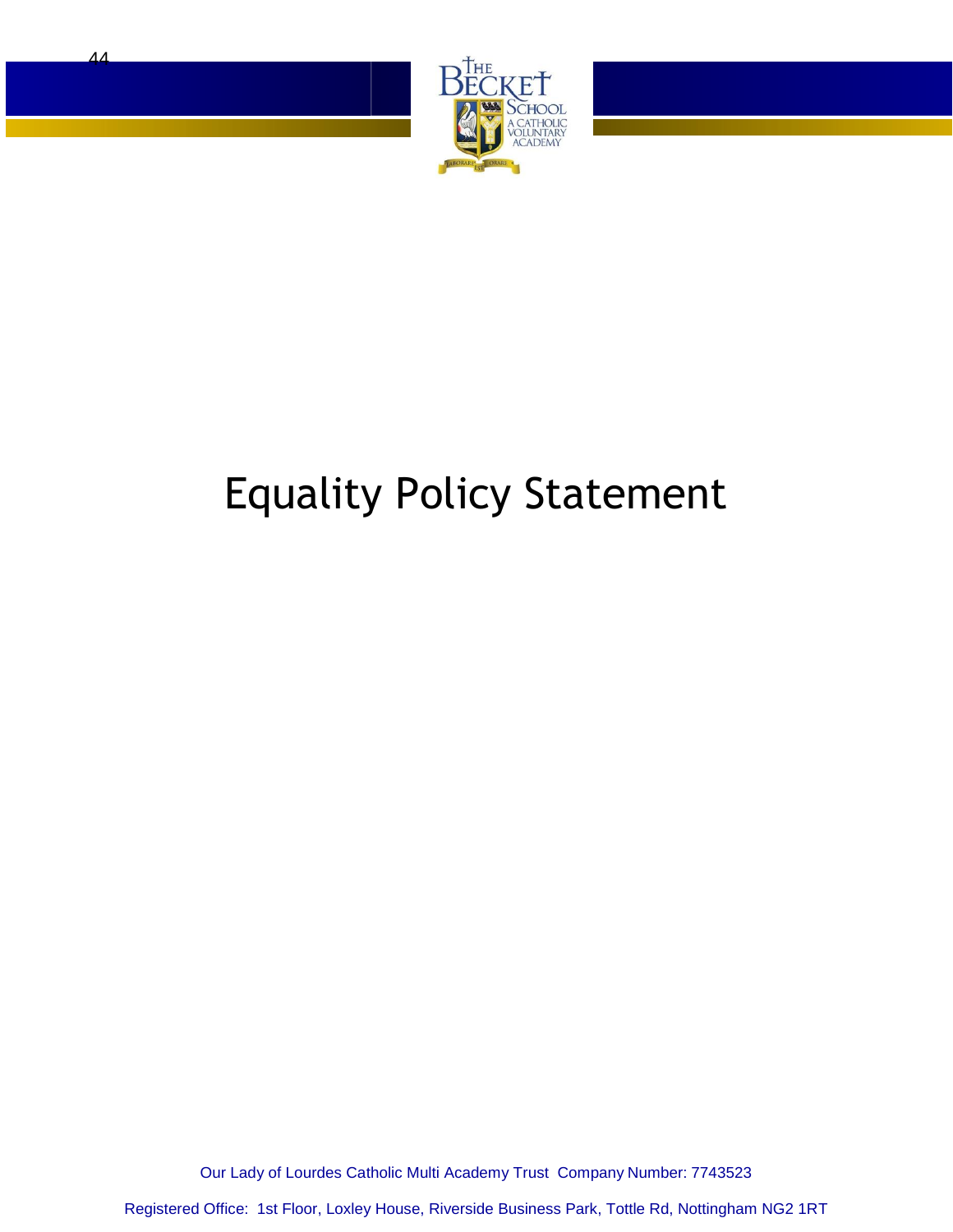

# Equality Policy Statement

Our Lady of Lourdes Catholic Multi Academy Trust Company Number: 7743523

Registered Office: 1st Floor, Loxley House, Riverside Business Park, Tottle Rd, Nottingham NG2 1RT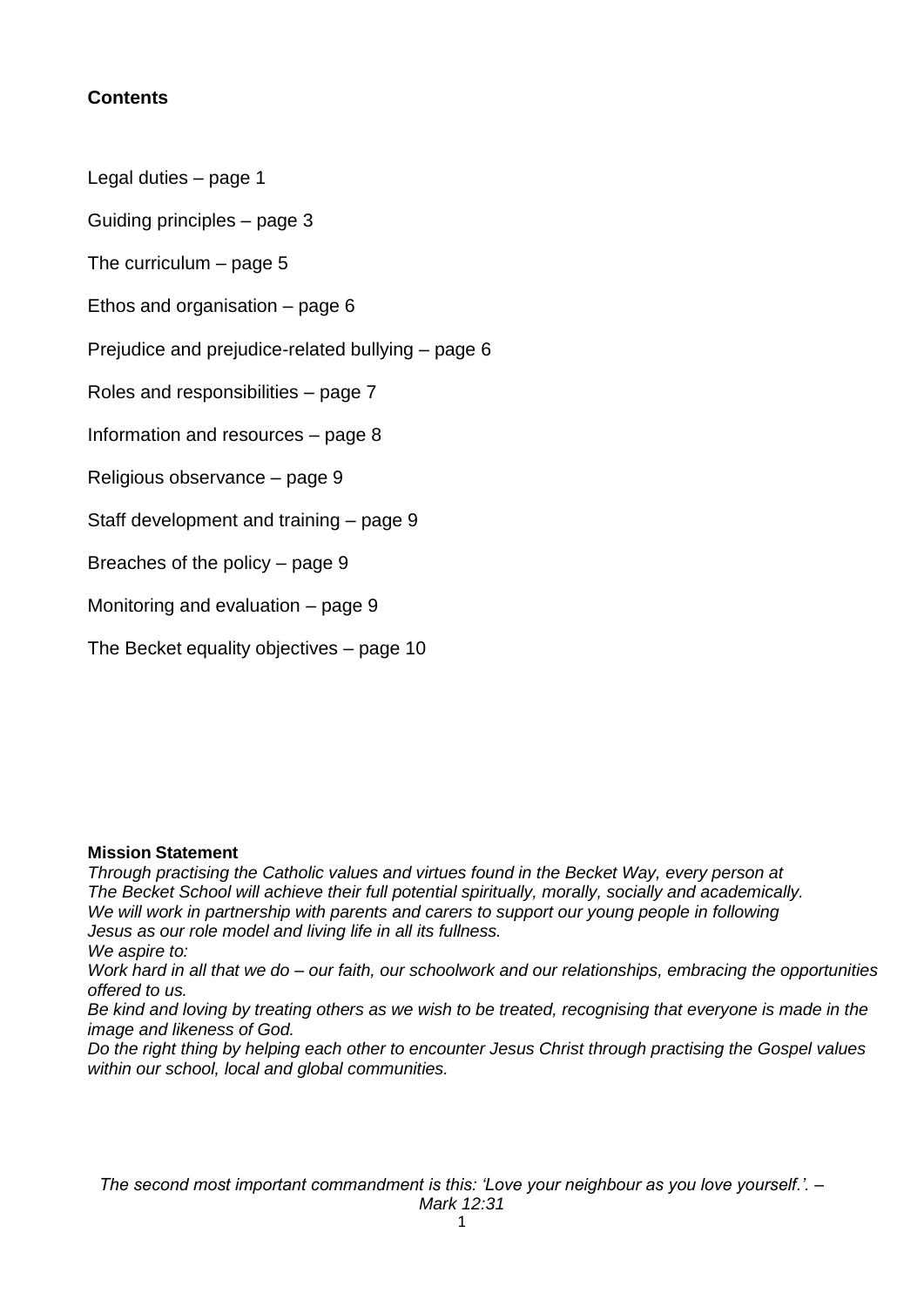## **Contents**

Legal duties – page 1

Guiding principles – page 3

The curriculum – page 5

Ethos and organisation – page 6

Prejudice and prejudice-related bullying – page 6

Roles and responsibilities – page 7

Information and resources – page 8

Religious observance – page 9

Staff development and training – page 9

Breaches of the policy – page 9

Monitoring and evaluation – page 9

The Becket equality objectives – page 10

#### **Mission Statement**

*Through practising the Catholic values and virtues found in the Becket Way, every person at The Becket School will achieve their full potential spiritually, morally, socially and academically. We will work in partnership with parents and carers to support our young people in following Jesus as our role model and living life in all its fullness. We aspire to:*

*Work hard in all that we do – our faith, our schoolwork and our relationships, embracing the opportunities offered to us.*

*Be kind and loving by treating others as we wish to be treated, recognising that everyone is made in the image and likeness of God.*

*Do the right thing by helping each other to encounter Jesus Christ through practising the Gospel values within our school, local and global communities.*

*The second most important commandment is this: 'Love your neighbour as you love yourself.'. –*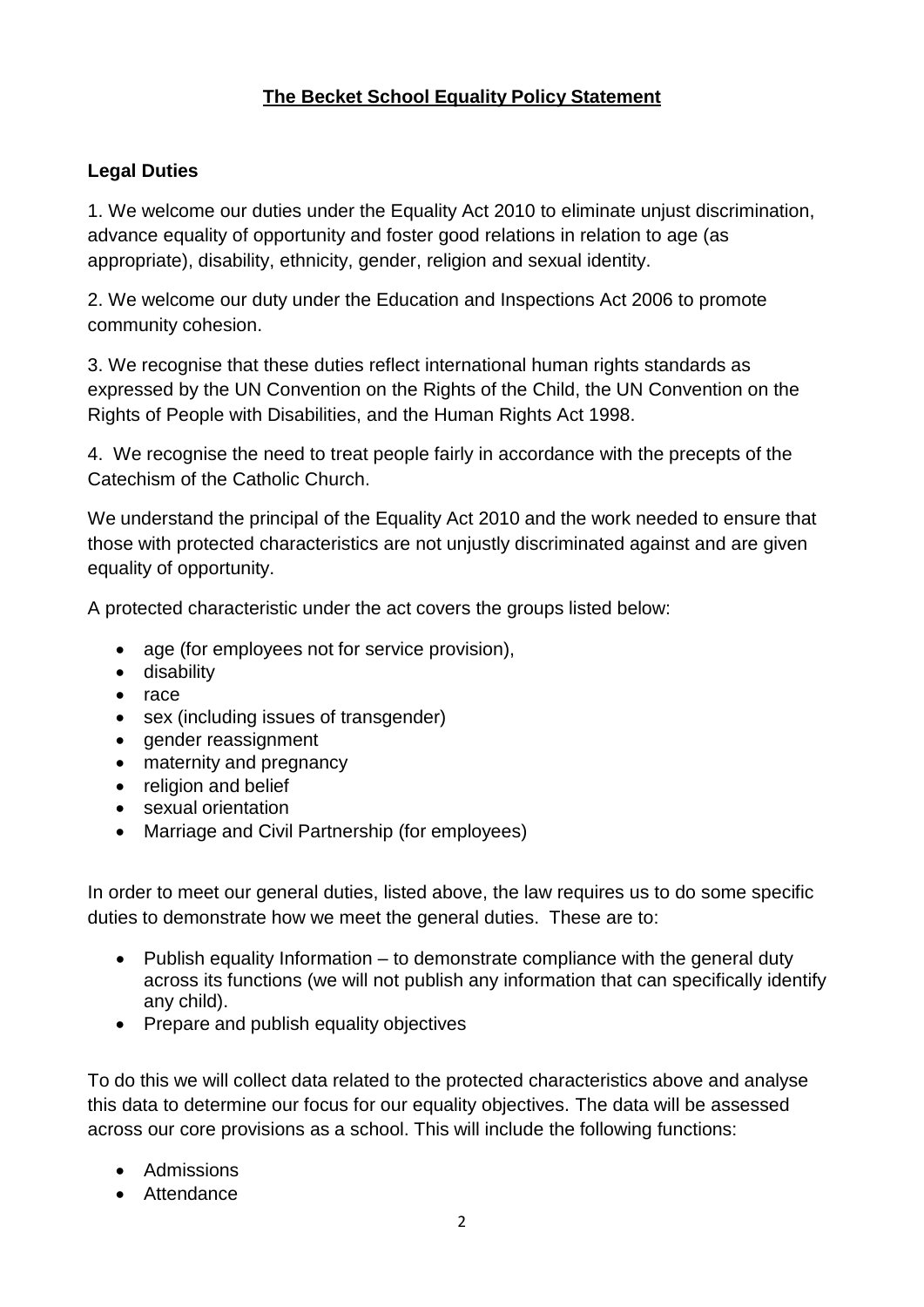# **The Becket School Equality Policy Statement**

# **Legal Duties**

1. We welcome our duties under the Equality Act 2010 to eliminate unjust discrimination, advance equality of opportunity and foster good relations in relation to age (as appropriate), disability, ethnicity, gender, religion and sexual identity.

2. We welcome our duty under the Education and Inspections Act 2006 to promote community cohesion.

3. We recognise that these duties reflect international human rights standards as expressed by the UN Convention on the Rights of the Child, the UN Convention on the Rights of People with Disabilities, and the Human Rights Act 1998.

4. We recognise the need to treat people fairly in accordance with the precepts of the Catechism of the Catholic Church.

We understand the principal of the Equality Act 2010 and the work needed to ensure that those with protected characteristics are not unjustly discriminated against and are given equality of opportunity.

A protected characteristic under the act covers the groups listed below:

- age (for employees not for service provision),
- **•** disability
- $\bullet$  race
- sex (including issues of transgender)
- gender reassignment
- maternity and pregnancy
- religion and belief
- sexual orientation
- Marriage and Civil Partnership (for employees)

In order to meet our general duties, listed above, the law requires us to do some specific duties to demonstrate how we meet the general duties. These are to:

- Publish equality Information  $-$  to demonstrate compliance with the general duty across its functions (we will not publish any information that can specifically identify any child).
- Prepare and publish equality objectives

To do this we will collect data related to the protected characteristics above and analyse this data to determine our focus for our equality objectives. The data will be assessed across our core provisions as a school. This will include the following functions:

- Admissions
- Attendance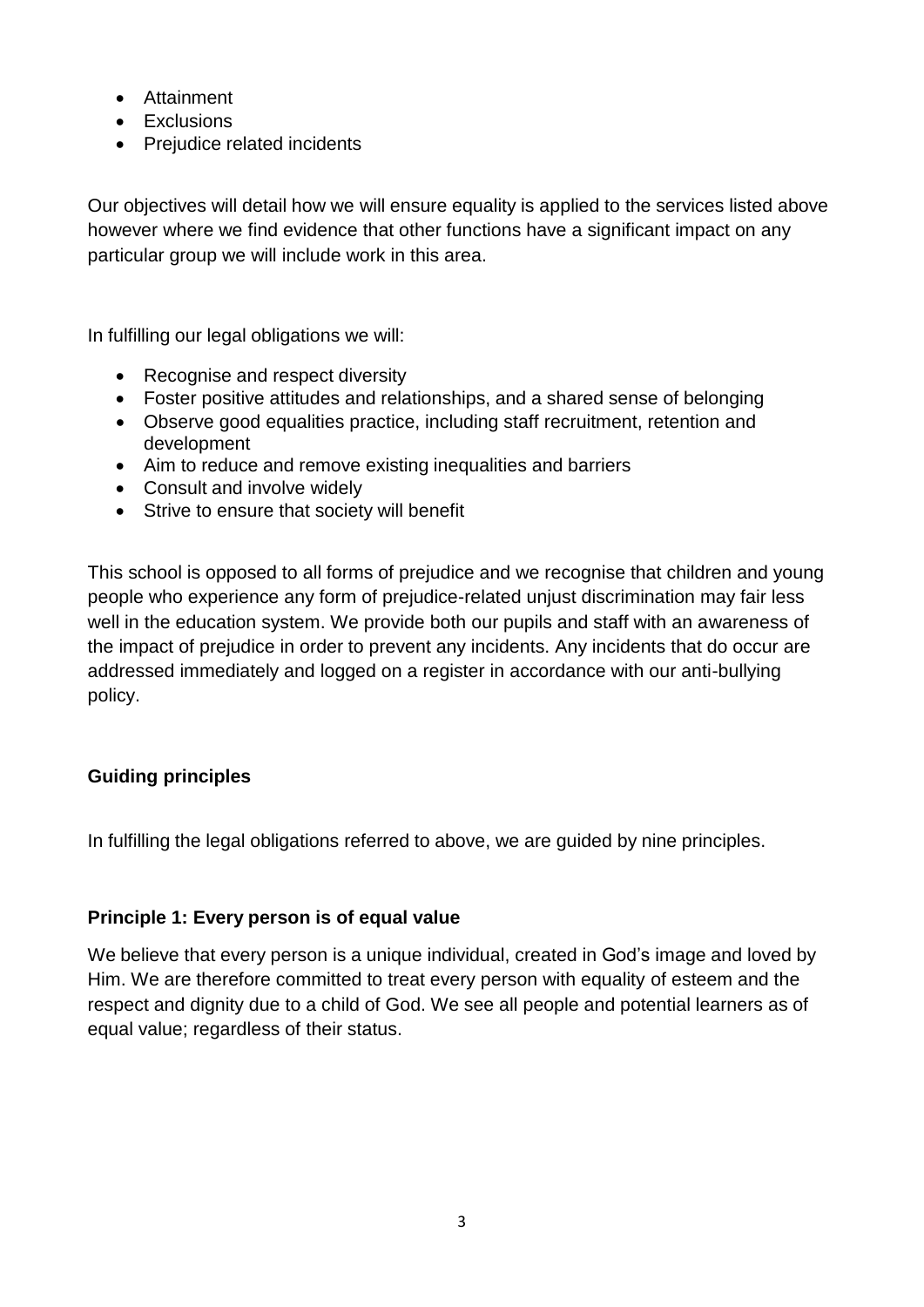- Attainment
- Exclusions
- Prejudice related incidents

Our objectives will detail how we will ensure equality is applied to the services listed above however where we find evidence that other functions have a significant impact on any particular group we will include work in this area.

In fulfilling our legal obligations we will:

- Recognise and respect diversity
- Foster positive attitudes and relationships, and a shared sense of belonging
- Observe good equalities practice, including staff recruitment, retention and development
- Aim to reduce and remove existing inequalities and barriers
- Consult and involve widely
- Strive to ensure that society will benefit

This school is opposed to all forms of prejudice and we recognise that children and young people who experience any form of prejudice-related unjust discrimination may fair less well in the education system. We provide both our pupils and staff with an awareness of the impact of prejudice in order to prevent any incidents. Any incidents that do occur are addressed immediately and logged on a register in accordance with our anti-bullying policy.

## **Guiding principles**

In fulfilling the legal obligations referred to above, we are guided by nine principles.

## **Principle 1: Every person is of equal value**

We believe that every person is a unique individual, created in God's image and loved by Him. We are therefore committed to treat every person with equality of esteem and the respect and dignity due to a child of God. We see all people and potential learners as of equal value; regardless of their status.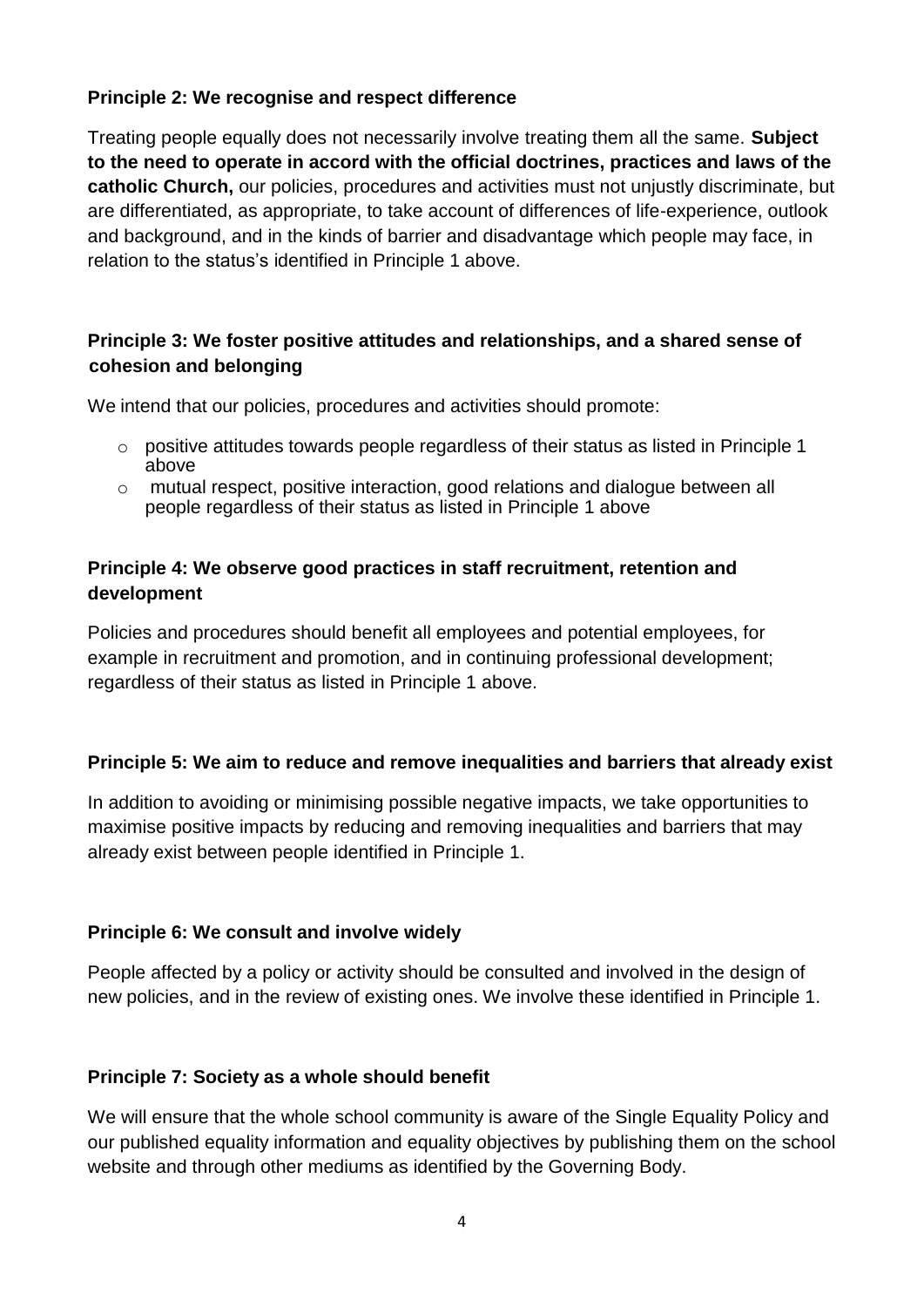# **Principle 2: We recognise and respect difference**

Treating people equally does not necessarily involve treating them all the same. **Subject to the need to operate in accord with the official doctrines, practices and laws of the catholic Church,** our policies, procedures and activities must not unjustly discriminate, but are differentiated, as appropriate, to take account of differences of life-experience, outlook and background, and in the kinds of barrier and disadvantage which people may face, in relation to the status's identified in Principle 1 above.

# **Principle 3: We foster positive attitudes and relationships, and a shared sense of cohesion and belonging**

We intend that our policies, procedures and activities should promote:

- $\circ$  positive attitudes towards people regardless of their status as listed in Principle 1 above
- $\circ$  mutual respect, positive interaction, good relations and dialogue between all people regardless of their status as listed in Principle 1 above

# **Principle 4: We observe good practices in staff recruitment, retention and development**

Policies and procedures should benefit all employees and potential employees, for example in recruitment and promotion, and in continuing professional development; regardless of their status as listed in Principle 1 above.

## **Principle 5: We aim to reduce and remove inequalities and barriers that already exist**

In addition to avoiding or minimising possible negative impacts, we take opportunities to maximise positive impacts by reducing and removing inequalities and barriers that may already exist between people identified in Principle 1.

## **Principle 6: We consult and involve widely**

People affected by a policy or activity should be consulted and involved in the design of new policies, and in the review of existing ones. We involve these identified in Principle 1.

## **Principle 7: Society as a whole should benefit**

We will ensure that the whole school community is aware of the Single Equality Policy and our published equality information and equality objectives by publishing them on the school website and through other mediums as identified by the Governing Body.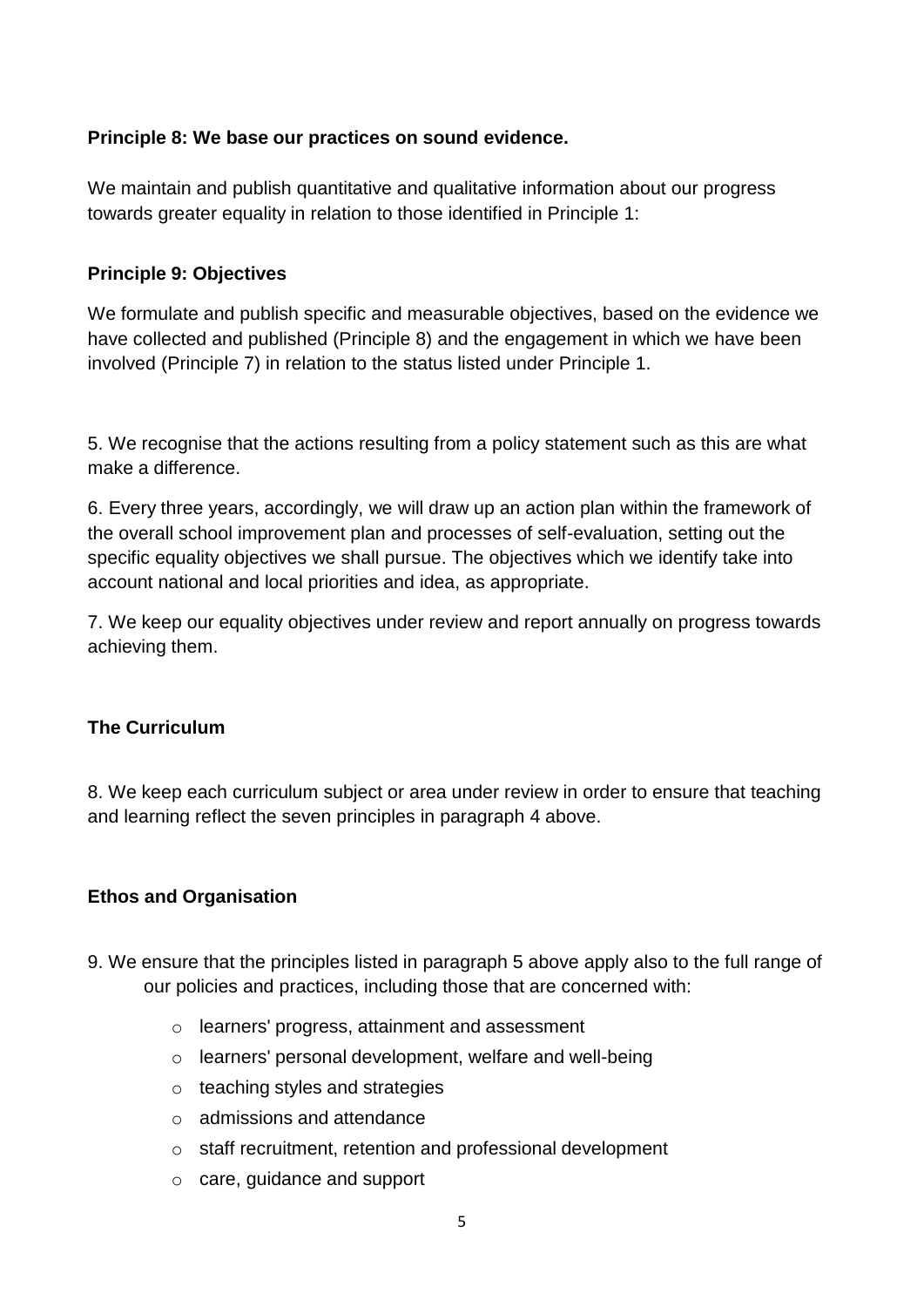## **Principle 8: We base our practices on sound evidence.**

We maintain and publish quantitative and qualitative information about our progress towards greater equality in relation to those identified in Principle 1:

#### **Principle 9: Objectives**

We formulate and publish specific and measurable objectives, based on the evidence we have collected and published (Principle 8) and the engagement in which we have been involved (Principle 7) in relation to the status listed under Principle 1.

5. We recognise that the actions resulting from a policy statement such as this are what make a difference.

6. Every three years, accordingly, we will draw up an action plan within the framework of the overall school improvement plan and processes of self-evaluation, setting out the specific equality objectives we shall pursue. The objectives which we identify take into account national and local priorities and idea, as appropriate.

7. We keep our equality objectives under review and report annually on progress towards achieving them.

## **The Curriculum**

8. We keep each curriculum subject or area under review in order to ensure that teaching and learning reflect the seven principles in paragraph 4 above.

## **Ethos and Organisation**

- 9. We ensure that the principles listed in paragraph 5 above apply also to the full range of our policies and practices, including those that are concerned with:
	- o learners' progress, attainment and assessment
	- o learners' personal development, welfare and well-being
	- $\circ$  teaching styles and strategies
	- o admissions and attendance
	- o staff recruitment, retention and professional development
	- o care, guidance and support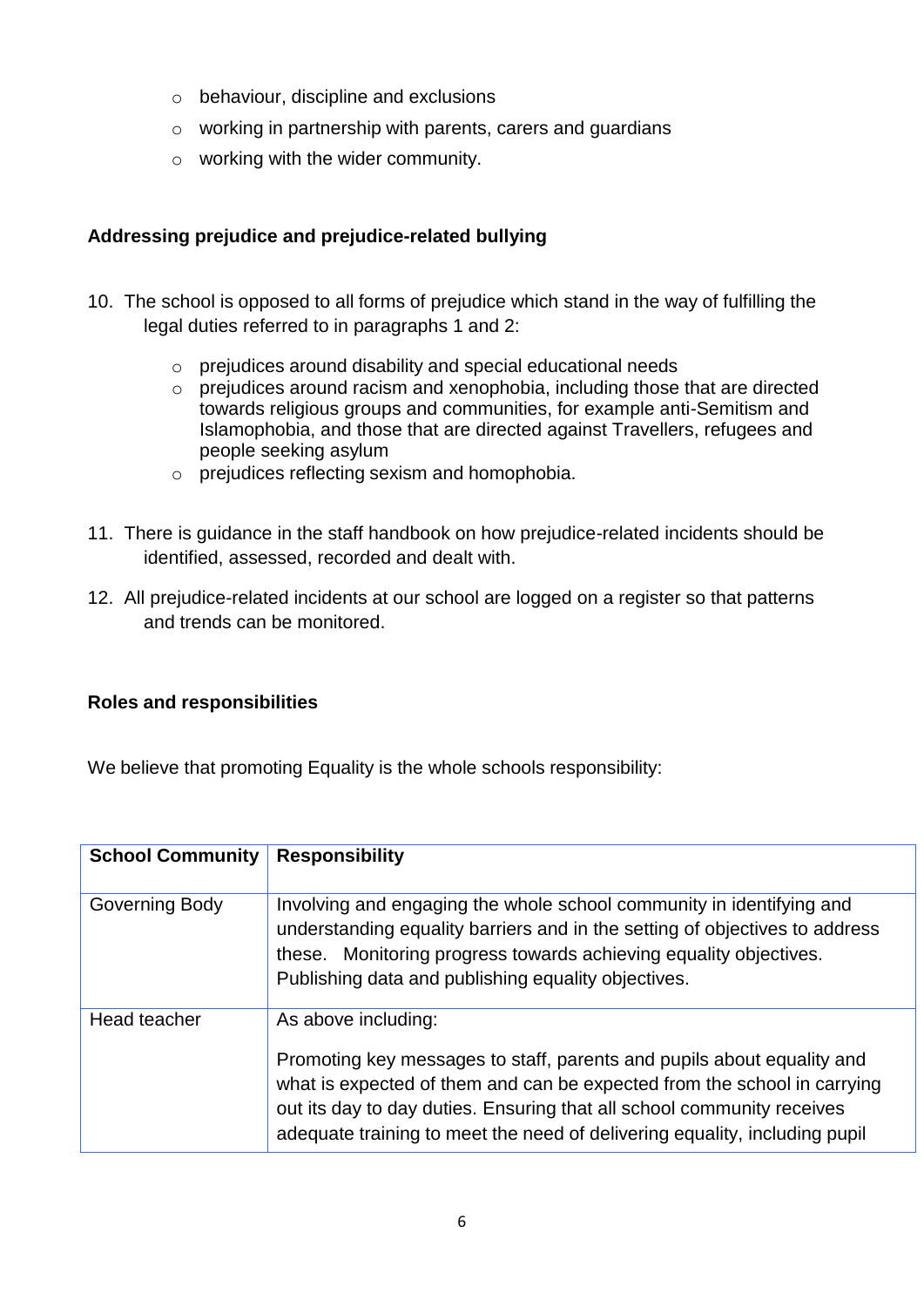- o behaviour, discipline and exclusions
- o working in partnership with parents, carers and guardians
- o working with the wider community.

#### **Addressing prejudice and prejudice-related bullying**

- 10. The school is opposed to all forms of prejudice which stand in the way of fulfilling the legal duties referred to in paragraphs 1 and 2:
	- o prejudices around disability and special educational needs
	- o prejudices around racism and xenophobia, including those that are directed towards religious groups and communities, for example anti-Semitism and Islamophobia, and those that are directed against Travellers, refugees and people seeking asylum
	- o prejudices reflecting sexism and homophobia.
- 11. There is guidance in the staff handbook on how prejudice-related incidents should be identified, assessed, recorded and dealt with.
- 12. All prejudice-related incidents at our school are logged on a register so that patterns and trends can be monitored.

#### **Roles and responsibilities**

We believe that promoting Equality is the whole schools responsibility:

| <b>School Community</b> | <b>Responsibility</b>                                                                                                                                                                                                                                                                                                             |
|-------------------------|-----------------------------------------------------------------------------------------------------------------------------------------------------------------------------------------------------------------------------------------------------------------------------------------------------------------------------------|
| Governing Body          | Involving and engaging the whole school community in identifying and<br>understanding equality barriers and in the setting of objectives to address<br>these. Monitoring progress towards achieving equality objectives.<br>Publishing data and publishing equality objectives.                                                   |
| Head teacher            | As above including:<br>Promoting key messages to staff, parents and pupils about equality and<br>what is expected of them and can be expected from the school in carrying<br>out its day to day duties. Ensuring that all school community receives<br>adequate training to meet the need of delivering equality, including pupil |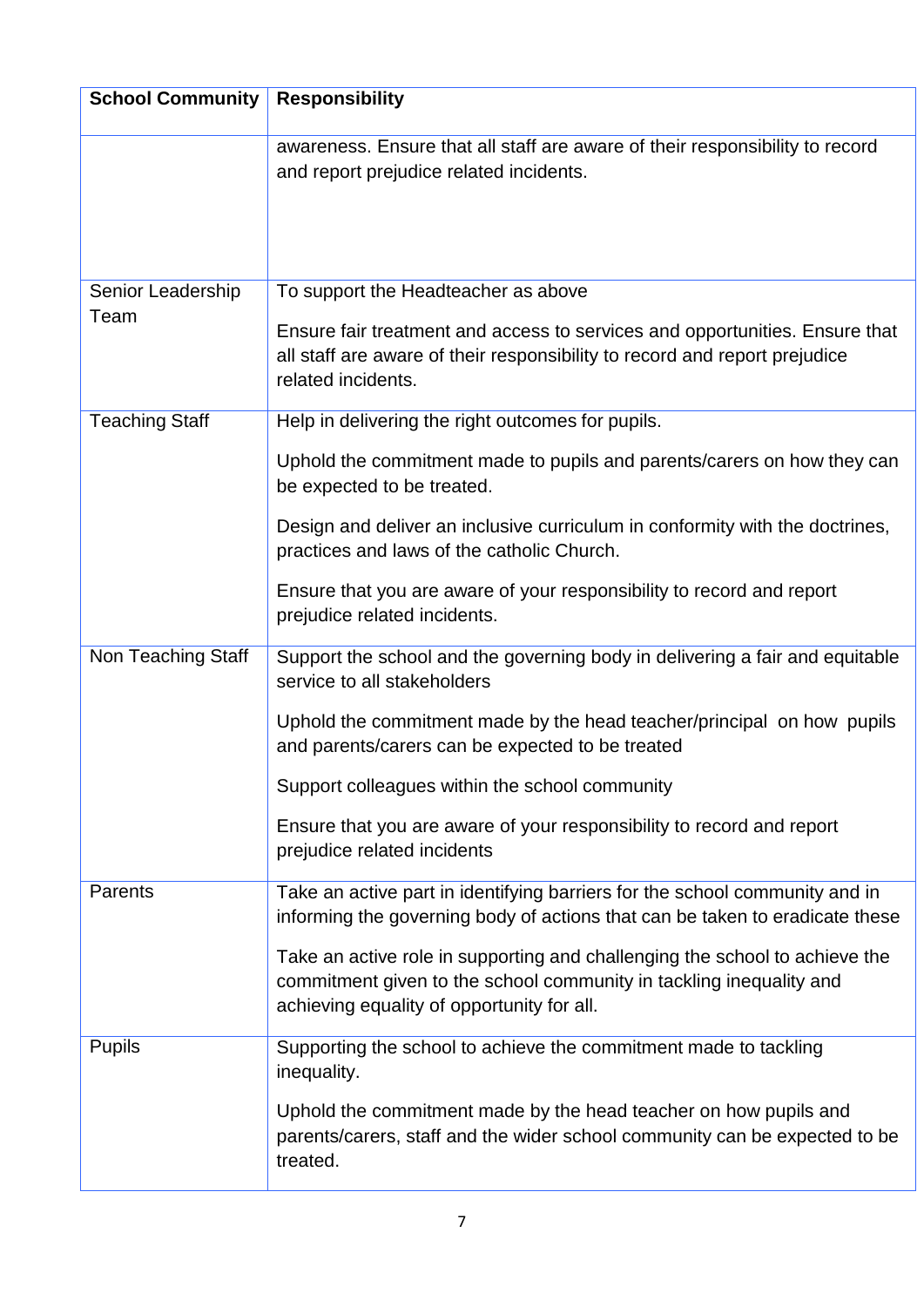| <b>School Community</b>   | <b>Responsibility</b>                                                                                                                                                                            |  |  |  |  |
|---------------------------|--------------------------------------------------------------------------------------------------------------------------------------------------------------------------------------------------|--|--|--|--|
|                           | awareness. Ensure that all staff are aware of their responsibility to record<br>and report prejudice related incidents.                                                                          |  |  |  |  |
| Senior Leadership<br>Team | To support the Headteacher as above                                                                                                                                                              |  |  |  |  |
|                           | Ensure fair treatment and access to services and opportunities. Ensure that<br>all staff are aware of their responsibility to record and report prejudice<br>related incidents.                  |  |  |  |  |
| <b>Teaching Staff</b>     | Help in delivering the right outcomes for pupils.                                                                                                                                                |  |  |  |  |
|                           | Uphold the commitment made to pupils and parents/carers on how they can<br>be expected to be treated.                                                                                            |  |  |  |  |
|                           | Design and deliver an inclusive curriculum in conformity with the doctrines,<br>practices and laws of the catholic Church.                                                                       |  |  |  |  |
|                           | Ensure that you are aware of your responsibility to record and report<br>prejudice related incidents.                                                                                            |  |  |  |  |
| Non Teaching Staff        | Support the school and the governing body in delivering a fair and equitable<br>service to all stakeholders                                                                                      |  |  |  |  |
|                           | Uphold the commitment made by the head teacher/principal on how pupils<br>and parents/carers can be expected to be treated                                                                       |  |  |  |  |
|                           | Support colleagues within the school community                                                                                                                                                   |  |  |  |  |
|                           | Ensure that you are aware of your responsibility to record and report<br>prejudice related incidents                                                                                             |  |  |  |  |
| Parents                   | Take an active part in identifying barriers for the school community and in<br>informing the governing body of actions that can be taken to eradicate these                                      |  |  |  |  |
|                           | Take an active role in supporting and challenging the school to achieve the<br>commitment given to the school community in tackling inequality and<br>achieving equality of opportunity for all. |  |  |  |  |
| <b>Pupils</b>             | Supporting the school to achieve the commitment made to tackling<br>inequality.                                                                                                                  |  |  |  |  |
|                           | Uphold the commitment made by the head teacher on how pupils and<br>parents/carers, staff and the wider school community can be expected to be<br>treated.                                       |  |  |  |  |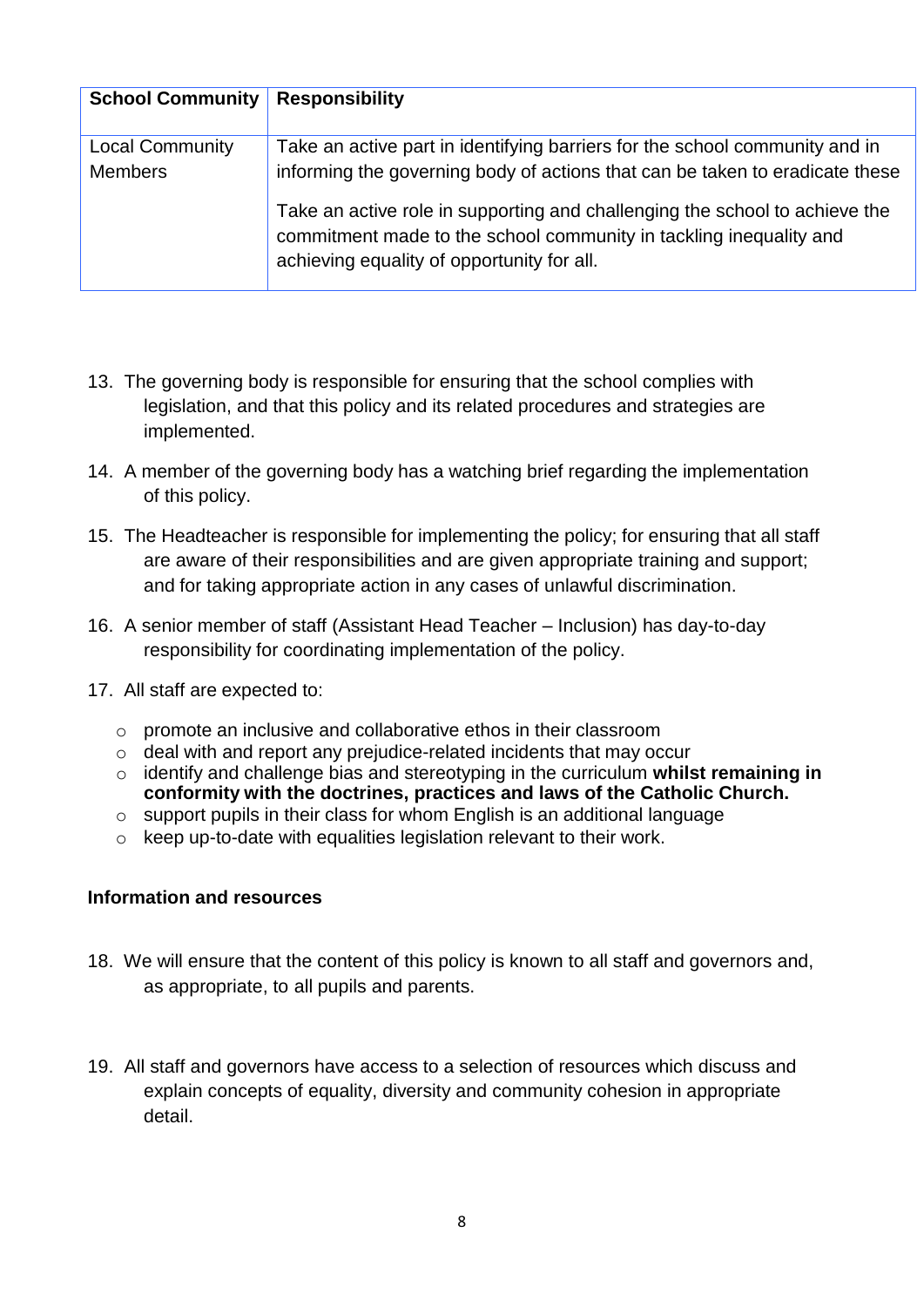| <b>School Community</b> | <b>Responsibility</b>                                                                                                                                                                           |
|-------------------------|-------------------------------------------------------------------------------------------------------------------------------------------------------------------------------------------------|
| <b>Local Community</b>  | Take an active part in identifying barriers for the school community and in                                                                                                                     |
| <b>Members</b>          | informing the governing body of actions that can be taken to eradicate these                                                                                                                    |
|                         | Take an active role in supporting and challenging the school to achieve the<br>commitment made to the school community in tackling inequality and<br>achieving equality of opportunity for all. |

- 13. The governing body is responsible for ensuring that the school complies with legislation, and that this policy and its related procedures and strategies are implemented.
- 14. A member of the governing body has a watching brief regarding the implementation of this policy.
- 15. The Headteacher is responsible for implementing the policy; for ensuring that all staff are aware of their responsibilities and are given appropriate training and support; and for taking appropriate action in any cases of unlawful discrimination.
- 16. A senior member of staff (Assistant Head Teacher Inclusion) has day-to-day responsibility for coordinating implementation of the policy.
- 17. All staff are expected to:
	- o promote an inclusive and collaborative ethos in their classroom
	- o deal with and report any prejudice-related incidents that may occur
	- o identify and challenge bias and stereotyping in the curriculum **whilst remaining in conformity with the doctrines, practices and laws of the Catholic Church.**
	- o support pupils in their class for whom English is an additional language
	- o keep up-to-date with equalities legislation relevant to their work.

#### **Information and resources**

- 18. We will ensure that the content of this policy is known to all staff and governors and, as appropriate, to all pupils and parents.
- 19. All staff and governors have access to a selection of resources which discuss and explain concepts of equality, diversity and community cohesion in appropriate detail.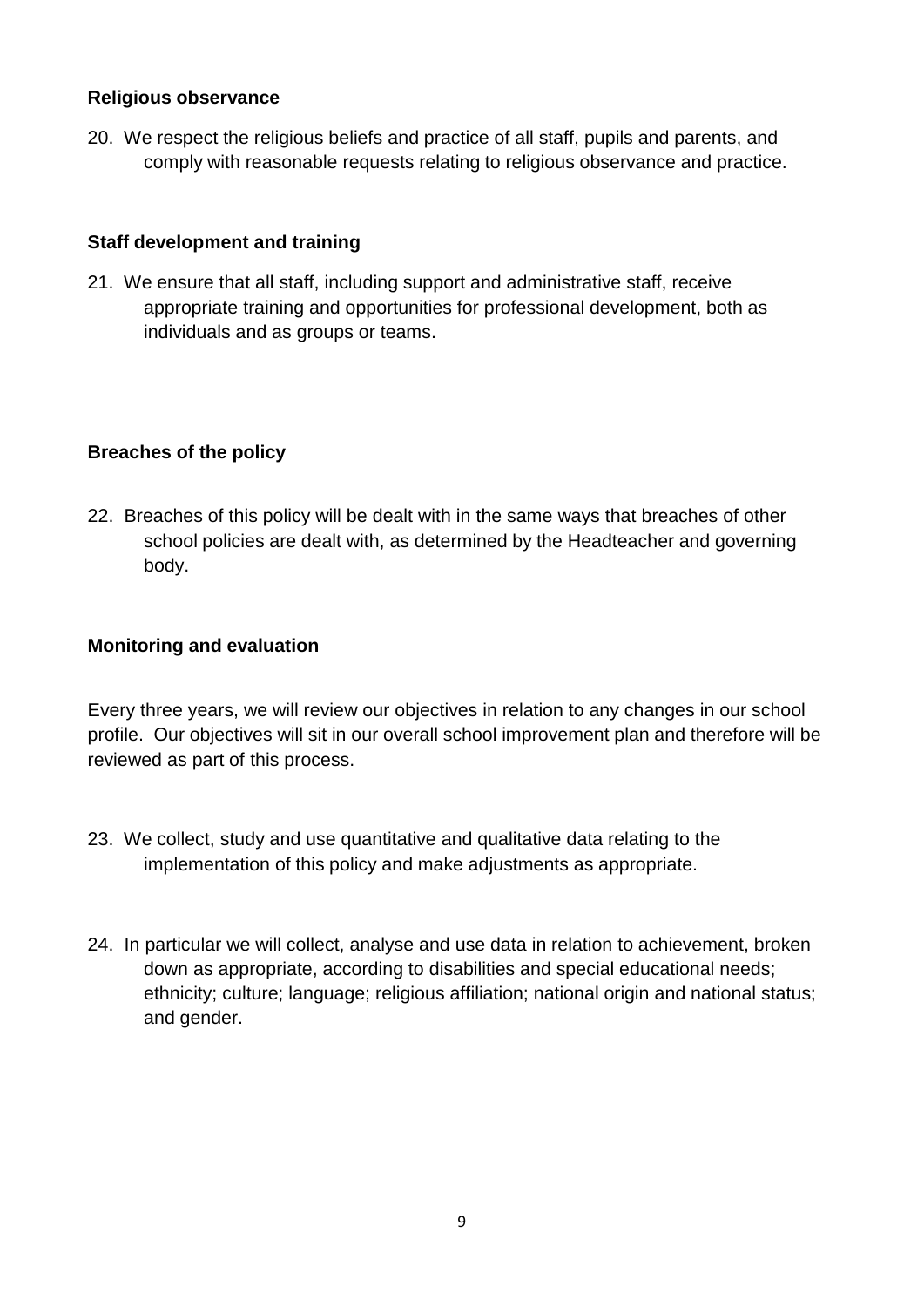#### **Religious observance**

20. We respect the religious beliefs and practice of all staff, pupils and parents, and comply with reasonable requests relating to religious observance and practice.

#### **Staff development and training**

21. We ensure that all staff, including support and administrative staff, receive appropriate training and opportunities for professional development, both as individuals and as groups or teams.

#### **Breaches of the policy**

22. Breaches of this policy will be dealt with in the same ways that breaches of other school policies are dealt with, as determined by the Headteacher and governing body.

#### **Monitoring and evaluation**

Every three years, we will review our objectives in relation to any changes in our school profile. Our objectives will sit in our overall school improvement plan and therefore will be reviewed as part of this process.

- 23. We collect, study and use quantitative and qualitative data relating to the implementation of this policy and make adjustments as appropriate.
- 24. In particular we will collect, analyse and use data in relation to achievement, broken down as appropriate, according to disabilities and special educational needs; ethnicity; culture; language; religious affiliation; national origin and national status; and gender.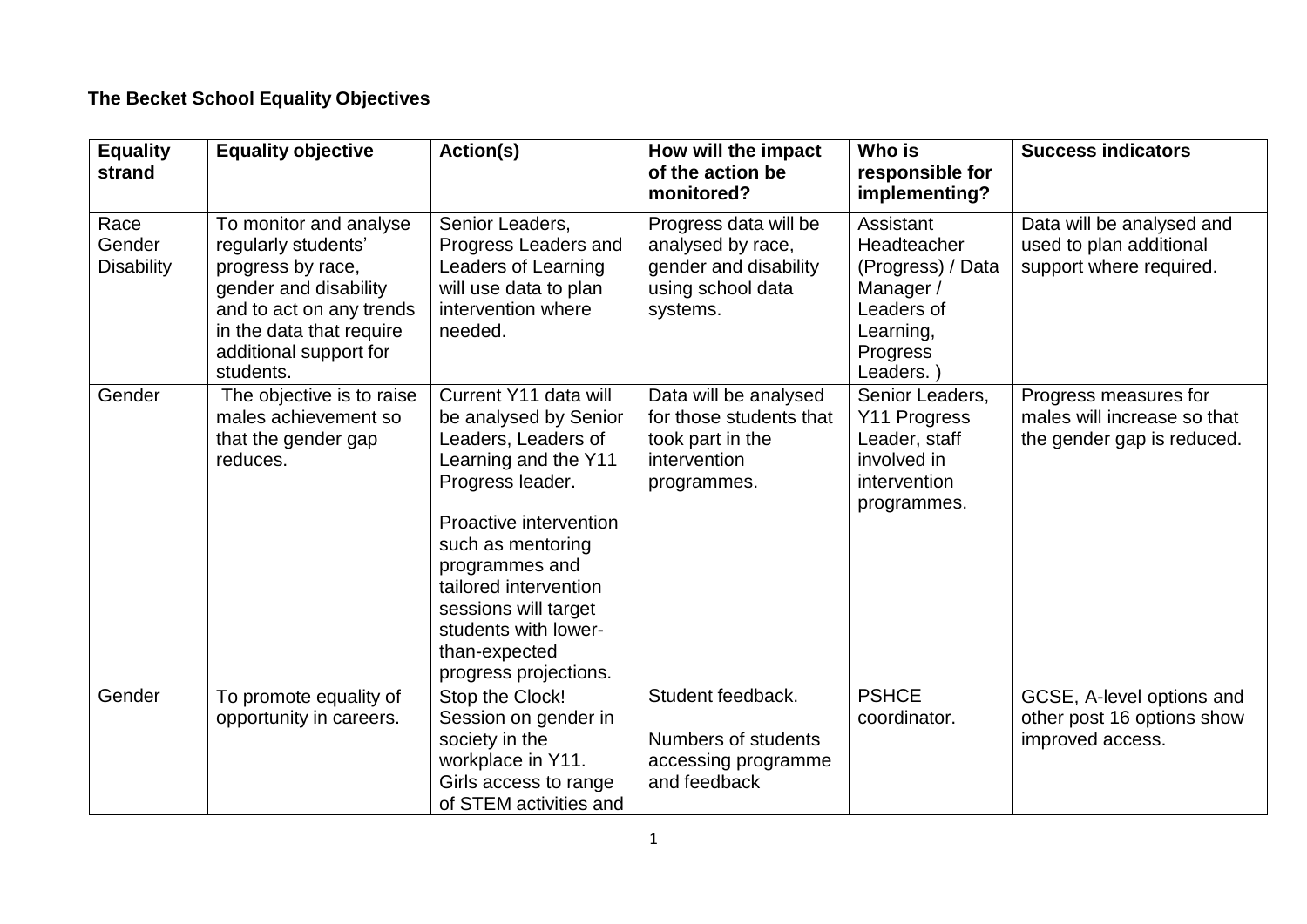# **The Becket School Equality Objectives**

| <b>Equality</b><br>strand           | <b>Equality objective</b>                                                                                                                                                                  | Action(s)                                                                                                                                                                                                                                                                                             | How will the impact<br>of the action be<br>monitored?                                                | Who is<br>responsible for<br>implementing?                                                                   | <b>Success indicators</b>                                                          |
|-------------------------------------|--------------------------------------------------------------------------------------------------------------------------------------------------------------------------------------------|-------------------------------------------------------------------------------------------------------------------------------------------------------------------------------------------------------------------------------------------------------------------------------------------------------|------------------------------------------------------------------------------------------------------|--------------------------------------------------------------------------------------------------------------|------------------------------------------------------------------------------------|
| Race<br>Gender<br><b>Disability</b> | To monitor and analyse<br>regularly students'<br>progress by race,<br>gender and disability<br>and to act on any trends<br>in the data that require<br>additional support for<br>students. | Senior Leaders,<br>Progress Leaders and<br>Leaders of Learning<br>will use data to plan<br>intervention where<br>needed.                                                                                                                                                                              | Progress data will be<br>analysed by race,<br>gender and disability<br>using school data<br>systems. | Assistant<br>Headteacher<br>(Progress) / Data<br>Manager/<br>Leaders of<br>Learning,<br>Progress<br>Leaders. | Data will be analysed and<br>used to plan additional<br>support where required.    |
| Gender                              | The objective is to raise<br>males achievement so<br>that the gender gap<br>reduces.                                                                                                       | Current Y11 data will<br>be analysed by Senior<br>Leaders, Leaders of<br>Learning and the Y11<br>Progress leader.<br>Proactive intervention<br>such as mentoring<br>programmes and<br>tailored intervention<br>sessions will target<br>students with lower-<br>than-expected<br>progress projections. | Data will be analysed<br>for those students that<br>took part in the<br>intervention<br>programmes.  | Senior Leaders,<br>Y11 Progress<br>Leader, staff<br>involved in<br>intervention<br>programmes.               | Progress measures for<br>males will increase so that<br>the gender gap is reduced. |
| Gender                              | To promote equality of<br>opportunity in careers.                                                                                                                                          | Stop the Clock!<br>Session on gender in<br>society in the<br>workplace in Y11.<br>Girls access to range<br>of STEM activities and                                                                                                                                                                     | Student feedback.<br>Numbers of students<br>accessing programme<br>and feedback                      | <b>PSHCE</b><br>coordinator.                                                                                 | GCSE, A-level options and<br>other post 16 options show<br>improved access.        |